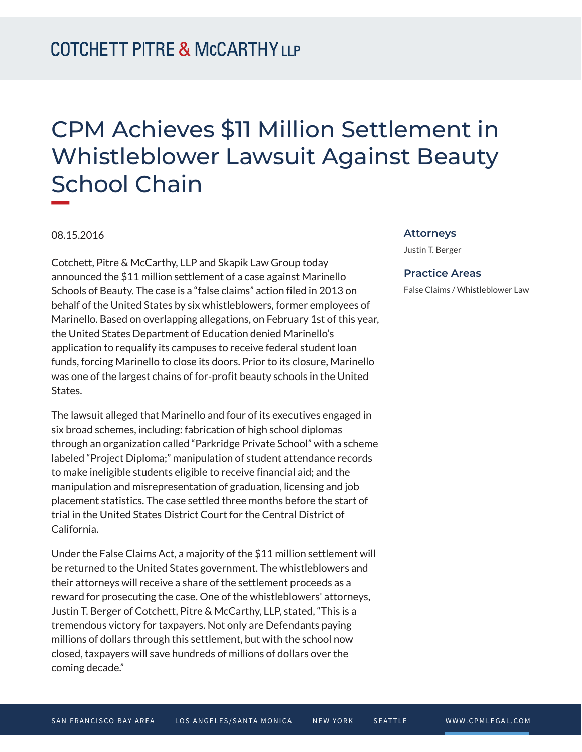## CPM Achieves \$11 Million Settlement in Whistleblower Lawsuit Against Beauty School Chain

08.15.2016

Cotchett, Pitre & McCarthy, LLP and Skapik Law Group today announced the \$11 million settlement of a case against Marinello Schools of Beauty. The case is a "false claims" action filed in 2013 on behalf of the United States by six whistleblowers, former employees of Marinello. Based on overlapping allegations, on February 1st of this year, the United States Department of Education denied Marinello's application to requalify its campuses to receive federal student loan funds, forcing Marinello to close its doors. Prior to its closure, Marinello was one of the largest chains of for-profit beauty schools in the United States.

The lawsuit alleged that Marinello and four of its executives engaged in six broad schemes, including: fabrication of high school diplomas through an organization called "Parkridge Private School" with a scheme labeled "Project Diploma;" manipulation of student attendance records to make ineligible students eligible to receive financial aid; and the manipulation and misrepresentation of graduation, licensing and job placement statistics. The case settled three months before the start of trial in the United States District Court for the Central District of California.

Under the False Claims Act, a majority of the \$11 million settlement will be returned to the United States government. The whistleblowers and their attorneys will receive a share of the settlement proceeds as a reward for prosecuting the case. One of the whistleblowers' attorneys, Justin T. Berger of Cotchett, Pitre & McCarthy, LLP, stated, "This is a tremendous victory for taxpayers. Not only are Defendants paying millions of dollars through this settlement, but with the school now closed, taxpayers will save hundreds of millions of dollars over the coming decade."

## **Attorneys**

Justin T. Berger

## **Practice Areas**

False Claims / Whistleblower Law